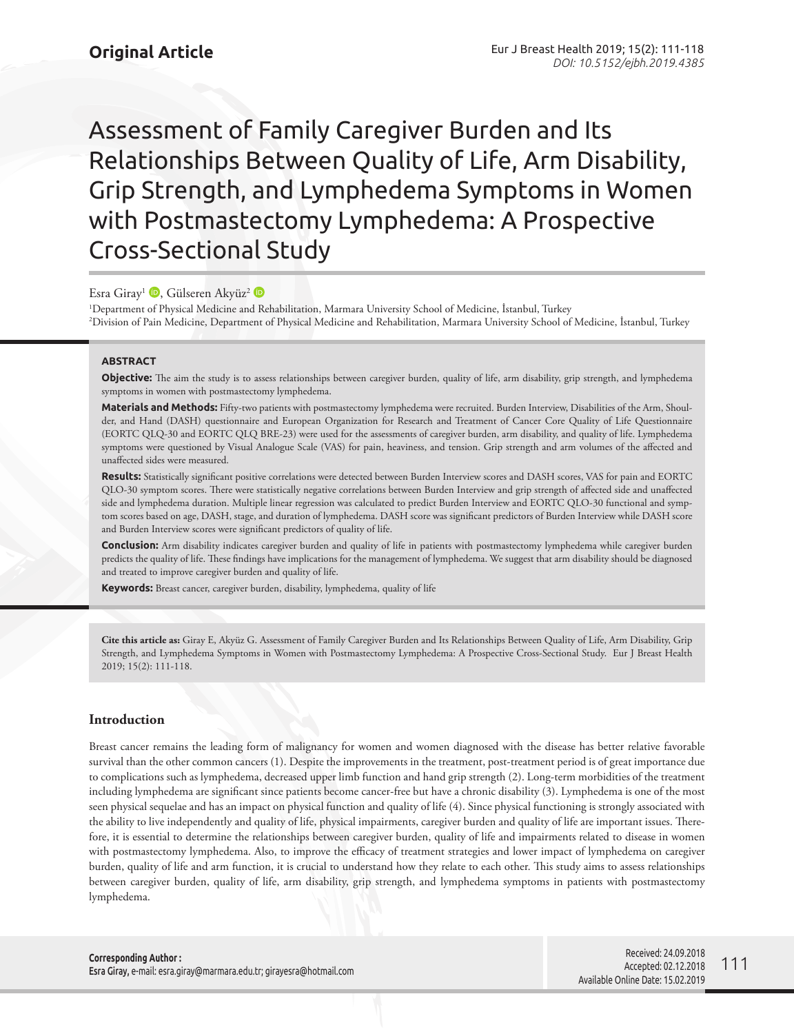Assessment of Family Caregiver Burden and Its Relationships Between Quality of Life, Arm Disability, Grip Strength, and Lymphedema Symptoms in Women with Postmastectomy Lymphedema: A Prospective Cross-Sectional Study

Esra Giray<sup>1</sup> <sup>(b)</sup>[,](http://orcid.org/0000-0003-3895-4486) Gülseren Akyüz<sup>2</sup> <sup>(b</sup>)

1 Department of Physical Medicine and Rehabilitation, Marmara University School of Medicine, İstanbul, Turkey 2 Division of Pain Medicine, Department of Physical Medicine and Rehabilitation, Marmara University School of Medicine, İstanbul, Turkey

## **ABSTRACT**

**Objective:** The aim the study is to assess relationships between caregiver burden, quality of life, arm disability, grip strength, and lymphedema symptoms in women with postmastectomy lymphedema.

**Materials and Methods:** Fifty-two patients with postmastectomy lymphedema were recruited. Burden Interview, Disabilities of the Arm, Shoulder, and Hand (DASH) questionnaire and European Organization for Research and Treatment of Cancer Core Quality of Life Questionnaire (EORTC QLQ-30 and EORTC QLQ BRE-23) were used for the assessments of caregiver burden, arm disability, and quality of life. Lymphedema symptoms were questioned by Visual Analogue Scale (VAS) for pain, heaviness, and tension. Grip strength and arm volumes of the affected and unaffected sides were measured.

**Results:** Statistically significant positive correlations were detected between Burden Interview scores and DASH scores, VAS for pain and EORTC QLO-30 symptom scores. There were statistically negative correlations between Burden Interview and grip strength of affected side and unaffected side and lymphedema duration. Multiple linear regression was calculated to predict Burden Interview and EORTC QLO-30 functional and symptom scores based on age, DASH, stage, and duration of lymphedema. DASH score was significant predictors of Burden Interview while DASH score and Burden Interview scores were significant predictors of quality of life.

**Conclusion:** Arm disability indicates caregiver burden and quality of life in patients with postmastectomy lymphedema while caregiver burden predicts the quality of life. These findings have implications for the management of lymphedema. We suggest that arm disability should be diagnosed and treated to improve caregiver burden and quality of life.

**Keywords:** Breast cancer, caregiver burden, disability, lymphedema, quality of life

**Cite this article as:** Giray E, Akyüz G. Assessment of Family Caregiver Burden and Its Relationships Between Quality of Life, Arm Disability, Grip Strength, and Lymphedema Symptoms in Women with Postmastectomy Lymphedema: A Prospective Cross-Sectional Study. Eur J Breast Health 2019; 15(2): 111-118.

## **Introduction**

Breast cancer remains the leading form of malignancy for women and women diagnosed with the disease has better relative favorable survival than the other common cancers (1). Despite the improvements in the treatment, post-treatment period is of great importance due to complications such as lymphedema, decreased upper limb function and hand grip strength (2). Long-term morbidities of the treatment including lymphedema are significant since patients become cancer-free but have a chronic disability (3). Lymphedema is one of the most seen physical sequelae and has an impact on physical function and quality of life (4). Since physical functioning is strongly associated with the ability to live independently and quality of life, physical impairments, caregiver burden and quality of life are important issues. Therefore, it is essential to determine the relationships between caregiver burden, quality of life and impairments related to disease in women with postmastectomy lymphedema. Also, to improve the efficacy of treatment strategies and lower impact of lymphedema on caregiver burden, quality of life and arm function, it is crucial to understand how they relate to each other. This study aims to assess relationships between caregiver burden, quality of life, arm disability, grip strength, and lymphedema symptoms in patients with postmastectomy lymphedema.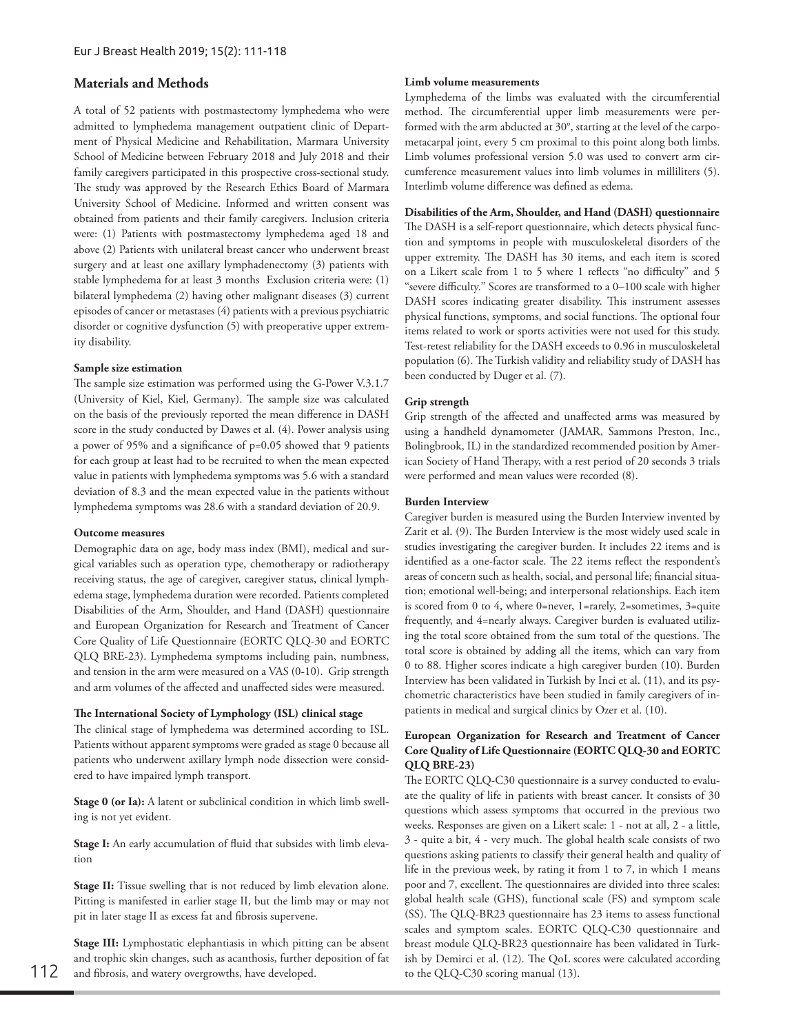# **Materials and Methods**

A total of 52 patients with postmastectomy lymphedema who were admitted to lymphedema management outpatient clinic of Department of Physical Medicine and Rehabilitation, Marmara University School of Medicine between February 2018 and July 2018 and their family caregivers participated in this prospective cross-sectional study. The study was approved by the Research Ethics Board of Marmara University School of Medicine. Informed and written consent was obtained from patients and their family caregivers. Inclusion criteria were: (1) Patients with postmastectomy lymphedema aged 18 and above (2) Patients with unilateral breast cancer who underwent breast surgery and at least one axillary lymphadenectomy (3) patients with stable lymphedema for at least 3 months Exclusion criteria were: (1) bilateral lymphedema (2) having other malignant diseases (3) current episodes of cancer or metastases (4) patients with a previous psychiatric disorder or cognitive dysfunction (5) with preoperative upper extremity disability.

### **Sample size estimation**

The sample size estimation was performed using the G-Power V.3.1.7 (University of Kiel, Kiel, Germany). The sample size was calculated on the basis of the previously reported the mean difference in DASH score in the study conducted by Dawes et al. (4). Power analysis using a power of 95% and a significance of p=0.05 showed that 9 patients for each group at least had to be recruited to when the mean expected value in patients with lymphedema symptoms was 5.6 with a standard deviation of 8.3 and the mean expected value in the patients without lymphedema symptoms was 28.6 with a standard deviation of 20.9.

### **Outcome measures**

Demographic data on age, body mass index (BMI), medical and surgical variables such as operation type, chemotherapy or radiotherapy receiving status, the age of caregiver, caregiver status, clinical lymphedema stage, lymphedema duration were recorded. Patients completed Disabilities of the Arm, Shoulder, and Hand (DASH) questionnaire and European Organization for Research and Treatment of Cancer Core Quality of Life Questionnaire (EORTC QLQ-30 and EORTC QLQ BRE-23). Lymphedema symptoms including pain, numbness, and tension in the arm were measured on a VAS (0-10). Grip strength and arm volumes of the affected and unaffected sides were measured.

# **The International Society of Lymphology (ISL) clinical stage**

The clinical stage of lymphedema was determined according to ISL. Patients without apparent symptoms were graded as stage 0 because all patients who underwent axillary lymph node dissection were considered to have impaired lymph transport.

**Stage 0 (or Ia):** A latent or subclinical condition in which limb swelling is not yet evident.

**Stage I:** An early accumulation of fluid that subsides with limb elevation

Stage II: Tissue swelling that is not reduced by limb elevation alone. Pitting is manifested in earlier stage II, but the limb may or may not pit in later stage II as excess fat and fibrosis supervene.

**Stage III:** Lymphostatic elephantiasis in which pitting can be absent and trophic skin changes, such as acanthosis, further deposition of fat 112 and fibrosis, and watery overgrowths, have developed. to the QLQ-C30 scoring manual (13).

## **Limb volume measurements**

Lymphedema of the limbs was evaluated with the circumferential method. The circumferential upper limb measurements were performed with the arm abducted at 30°, starting at the level of the carpometacarpal joint, every 5 cm proximal to this point along both limbs. Limb volumes professional version 5.0 was used to convert arm circumference measurement values into limb volumes in milliliters (5). Interlimb volume difference was defined as edema.

## **Disabilities of the Arm, Shoulder, and Hand (DASH) questionnaire**

The DASH is a self-report questionnaire, which detects physical function and symptoms in people with musculoskeletal disorders of the upper extremity. The DASH has 30 items, and each item is scored on a Likert scale from 1 to 5 where 1 reflects ''no difficulty'' and 5 ''severe difficulty.'' Scores are transformed to a 0–100 scale with higher DASH scores indicating greater disability. This instrument assesses physical functions, symptoms, and social functions. The optional four items related to work or sports activities were not used for this study. Test-retest reliability for the DASH exceeds to 0.96 in musculoskeletal population (6). The Turkish validity and reliability study of DASH has been conducted by Duger et al. (7).

# **Grip strength**

Grip strength of the affected and unaffected arms was measured by using a handheld dynamometer (JAMAR, Sammons Preston, Inc., Bolingbrook, IL) in the standardized recommended position by American Society of Hand Therapy, with a rest period of 20 seconds 3 trials were performed and mean values were recorded (8).

#### **Burden Interview**

Caregiver burden is measured using the Burden Interview invented by Zarit et al. (9). The Burden Interview is the most widely used scale in studies investigating the caregiver burden. It includes 22 items and is identified as a one-factor scale. The 22 items reflect the respondent's areas of concern such as health, social, and personal life; financial situation; emotional well-being; and interpersonal relationships. Each item is scored from 0 to 4, where 0=never, 1=rarely, 2=sometimes, 3=quite frequently, and 4=nearly always. Caregiver burden is evaluated utilizing the total score obtained from the sum total of the questions. The total score is obtained by adding all the items, which can vary from 0 to 88. Higher scores indicate a high caregiver burden (10). Burden Interview has been validated in Turkish by Inci et al. (11), and its psychometric characteristics have been studied in family caregivers of inpatients in medical and surgical clinics by Ozer et al. (10).

# **European Organization for Research and Treatment of Cancer Core Quality of Life Questionnaire (EORTC QLQ-30 and EORTC QLQ BRE-23)**

The EORTC QLQ-C30 questionnaire is a survey conducted to evaluate the quality of life in patients with breast cancer. It consists of 30 questions which assess symptoms that occurred in the previous two weeks. Responses are given on a Likert scale: 1 - not at all, 2 - a little, 3 - quite a bit, 4 - very much. The global health scale consists of two questions asking patients to classify their general health and quality of life in the previous week, by rating it from 1 to 7, in which 1 means poor and 7, excellent. The questionnaires are divided into three scales: global health scale (GHS), functional scale (FS) and symptom scale (SS). The QLQ-BR23 questionnaire has 23 items to assess functional scales and symptom scales. EORTC QLQ-C30 questionnaire and breast module QLQ-BR23 questionnaire has been validated in Turkish by Demirci et al. (12). The QoL scores were calculated according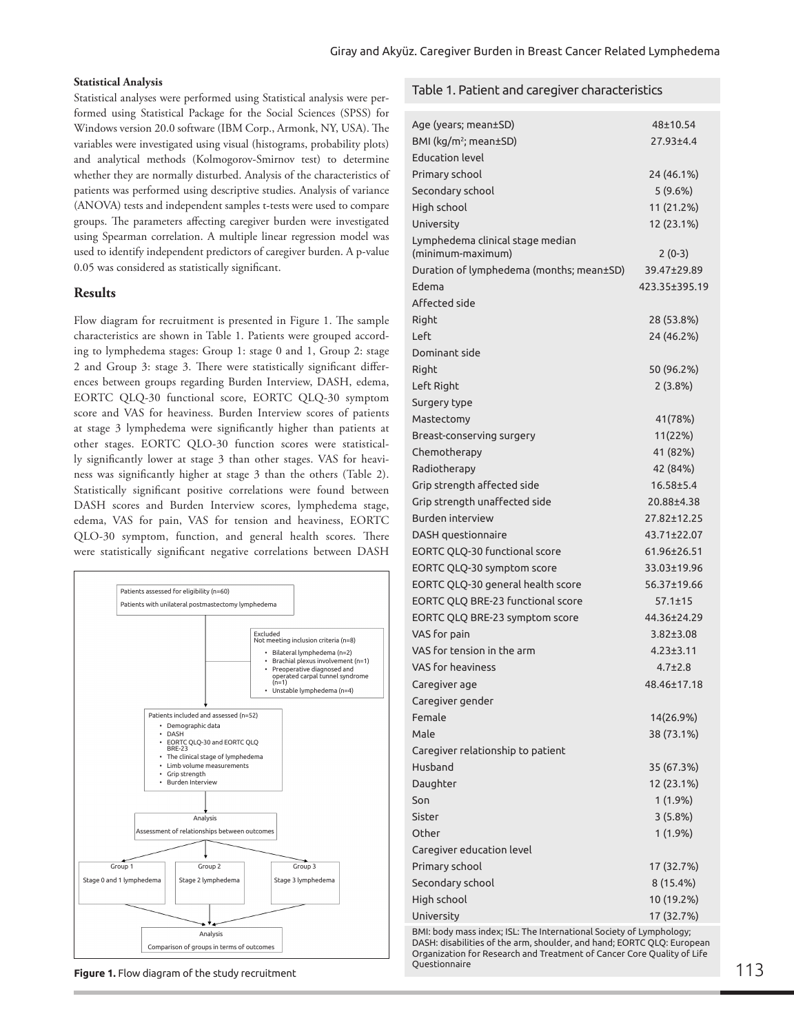## **Statistical Analysis**

Statistical analyses were performed using Statistical analysis were performed using Statistical Package for the Social Sciences (SPSS) for Windows version 20.0 software (IBM Corp., Armonk, NY, USA). The variables were investigated using visual (histograms, probability plots) and analytical methods (Kolmogorov-Smirnov test) to determine whether they are normally disturbed. Analysis of the characteristics of patients was performed using descriptive studies. Analysis of variance (ANOVA) tests and independent samples t-tests were used to compare groups. The parameters affecting caregiver burden were investigated using Spearman correlation. A multiple linear regression model was used to identify independent predictors of caregiver burden. A p-value 0.05 was considered as statistically significant.

# **Results**

Flow diagram for recruitment is presented in Figure 1. The sample characteristics are shown in Table 1. Patients were grouped according to lymphedema stages: Group 1: stage 0 and 1, Group 2: stage 2 and Group 3: stage 3. There were statistically significant differences between groups regarding Burden Interview, DASH, edema, EORTC QLQ-30 functional score, EORTC QLQ-30 symptom score and VAS for heaviness. Burden Interview scores of patients at stage 3 lymphedema were significantly higher than patients at other stages. EORTC QLO-30 function scores were statistically significantly lower at stage 3 than other stages. VAS for heaviness was significantly higher at stage 3 than the others (Table 2). Statistically significant positive correlations were found between DASH scores and Burden Interview scores, lymphedema stage, edema, VAS for pain, VAS for tension and heaviness, EORTC QLO-30 symptom, function, and general health scores. There were statistically significant negative correlations between DASH



**Figure 1.** Flow diagram of the study recruitment

# Table 1. Patient and caregiver characteristics

| Age (years; mean±SD)                     | 48±10.54        |
|------------------------------------------|-----------------|
| BMI (kg/m <sup>2</sup> ; mean±SD)        | 27.93±4.4       |
| <b>Education level</b>                   |                 |
| Primary school                           | 24 (46.1%)      |
| Secondary school                         | 5(9.6%)         |
| High school                              | 11 (21.2%)      |
| University                               | 12 (23.1%)      |
| Lymphedema clinical stage median         |                 |
| (minimum-maximum)                        | $2(0-3)$        |
| Duration of lymphedema (months; mean±SD) | 39.47±29.89     |
| Edema                                    | 423.35±395.19   |
| Affected side                            |                 |
| Right                                    | 28 (53.8%)      |
| Left                                     | 24 (46.2%)      |
| Dominant side                            |                 |
| Right                                    | 50 (96.2%)      |
| Left Right                               | 2(3.8%)         |
| Surgery type                             |                 |
| Mastectomy                               | 41(78%)         |
| Breast-conserving surgery                | 11(22%)         |
| Chemotherapy                             | 41 (82%)        |
| Radiotherapy                             | 42 (84%)        |
| Grip strength affected side              | $16.58 + 5.4$   |
| Grip strength unaffected side            | 20.88±4.38      |
| Burden interview                         | 27.82±12.25     |
| DASH questionnaire                       | 43.71±22.07     |
| EORTC QLQ-30 functional score            | 61.96±26.51     |
| EORTC QLQ-30 symptom score               | 33.03±19.96     |
| EORTC QLQ-30 general health score        | 56.37±19.66     |
| EORTC QLQ BRE-23 functional score        | $57.1 \pm 15$   |
| EORTC QLQ BRE-23 symptom score           | 44.36±24.29     |
| VAS for pain                             | $3.82 \pm 3.08$ |
| VAS for tension in the arm               | $4.23 \pm 3.11$ |
| VAS for heaviness                        | $4.7 \pm 2.8$   |
| Caregiver age                            | 48.46±17.18     |
| Caregiver gender                         |                 |
| Female                                   | 14(26.9%)       |
| Male                                     | 38 (73.1%)      |
| Caregiver relationship to patient        |                 |
| Husband                                  | 35 (67.3%)      |
| Daughter                                 | 12 (23.1%)      |
| Son                                      | $1(1.9\%)$      |
| Sister                                   | 3(5.8%)         |
| Other                                    | $1(1.9\%)$      |
| Caregiver education level                |                 |
| Primary school                           | 17 (32.7%)      |
| Secondary school                         | 8 (15.4%)       |
| High school                              | 10 (19.2%)      |
| University                               | 17 (32.7%)      |

BMI: body mass index; ISL: The International Society of Lymphology; DASH: disabilities of the arm, shoulder, and hand; EORTC QLQ: European Organization for Research and Treatment of Cancer Core Quality of Life **Ouestionnaire**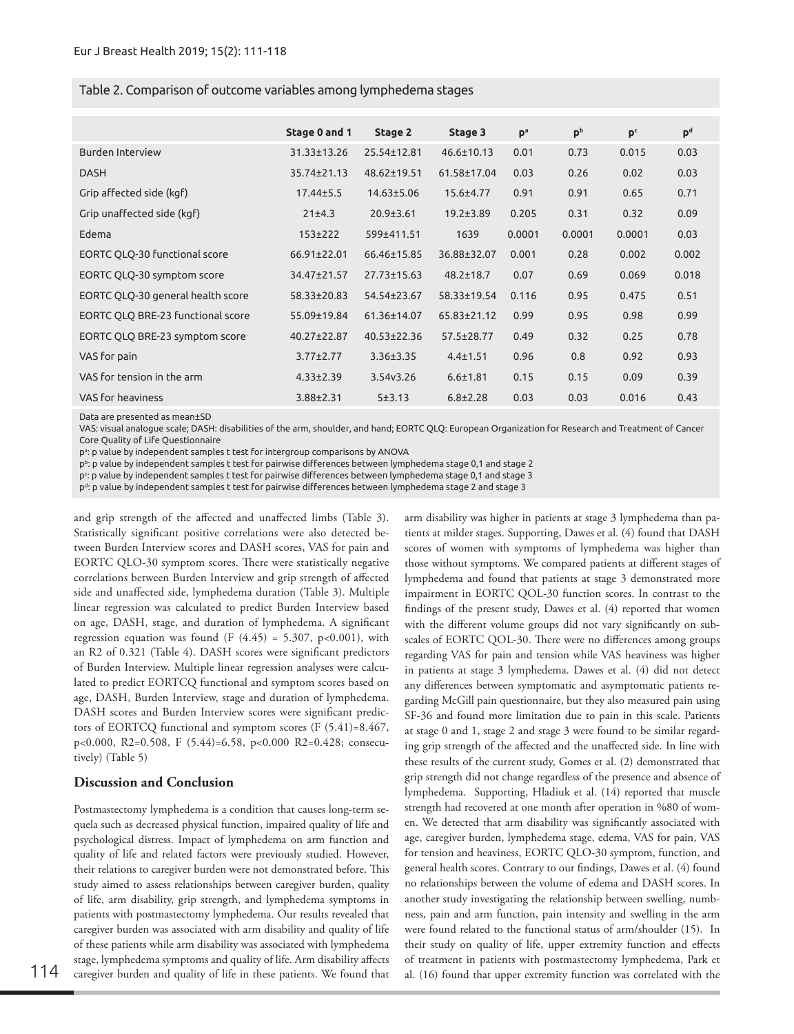# Table 2. Comparison of outcome variables among lymphedema stages

|                                   | Stage 0 and 1     | Stage 2           | Stage 3           | p <sup>a</sup> | p <sub>b</sub> | p <sub>c</sub> | $\mathbf{p}^d$ |
|-----------------------------------|-------------------|-------------------|-------------------|----------------|----------------|----------------|----------------|
| Burden Interview                  | $31.33 \pm 13.26$ | 25.54±12.81       | $46.6 \pm 10.13$  | 0.01           | 0.73           | 0.015          | 0.03           |
| <b>DASH</b>                       | $35.74 \pm 21.13$ | 48.62±19.51       | 61.58±17.04       | 0.03           | 0.26           | 0.02           | 0.03           |
| Grip affected side (kgf)          | $17.44 \pm 5.5$   | 14.63±5.06        | $15.6 \pm 4.77$   | 0.91           | 0.91           | 0.65           | 0.71           |
| Grip unaffected side (kgf)        | 21±4.3            | $20.9 \pm 3.61$   | $19.2 \pm 3.89$   | 0.205          | 0.31           | 0.32           | 0.09           |
| Edema                             | $153+222$         | 599±411.51        | 1639              | 0.0001         | 0.0001         | 0.0001         | 0.03           |
| EORTC QLQ-30 functional score     | 66.91±22.01       | 66.46±15.85       | 36.88±32.07       | 0.001          | 0.28           | 0.002          | 0.002          |
| EORTC QLQ-30 symptom score        | 34.47±21.57       | 27.73±15.63       | $48.2 \pm 18.7$   | 0.07           | 0.69           | 0.069          | 0.018          |
| EORTC QLQ-30 general health score | 58.33±20.83       | 54.54±23.67       | 58.33±19.54       | 0.116          | 0.95           | 0.475          | 0.51           |
| EORTC QLQ BRE-23 functional score | 55.09±19.84       | 61.36±14.07       | $65.83 \pm 21.12$ | 0.99           | 0.95           | 0.98           | 0.99           |
| EORTC QLQ BRE-23 symptom score    | 40.27±22.87       | $40.53 \pm 22.36$ | $57.5 \pm 28.77$  | 0.49           | 0.32           | 0.25           | 0.78           |
| VAS for pain                      | $3.77 \pm 2.77$   | $3.36 \pm 3.35$   | $4.4 \pm 1.51$    | 0.96           | 0.8            | 0.92           | 0.93           |
| VAS for tension in the arm        | $4.33 \pm 2.39$   | 3.54y3.26         | $6.6 \pm 1.81$    | 0.15           | 0.15           | 0.09           | 0.39           |
| VAS for heaviness                 | $3.88 \pm 2.31$   | 5±3.13            | $6.8 \pm 2.28$    | 0.03           | 0.03           | 0.016          | 0.43           |

Data are presented as mean±SD

VAS: visual analogue scale; DASH: disabilities of the arm, shoulder, and hand; EORTC QLQ: European Organization for Research and Treatment of Cancer Core Quality of Life Questionnaire

p<sup>a</sup>: p value by independent samples t test for intergroup comparisons by ANOVA

p<sup>b</sup>: p value by independent samples t test for pairwise differences between lymphedema stage 0,1 and stage 2

p<sup>c</sup>: p value by independent samples t test for pairwise differences between lymphedema stage 0,1 and stage 3

 $p^d$ : p value by independent samples t test for pairwise differences between lymphedema stage 2 and stage 3

and grip strength of the affected and unaffected limbs (Table 3). Statistically significant positive correlations were also detected between Burden Interview scores and DASH scores, VAS for pain and EORTC QLO-30 symptom scores. There were statistically negative correlations between Burden Interview and grip strength of affected side and unaffected side, lymphedema duration (Table 3). Multiple linear regression was calculated to predict Burden Interview based on age, DASH, stage, and duration of lymphedema. A significant regression equation was found  $(F (4.45) = 5.307, p<0.001)$ , with an R2 of 0.321 (Table 4). DASH scores were significant predictors of Burden Interview. Multiple linear regression analyses were calculated to predict EORTCQ functional and symptom scores based on age, DASH, Burden Interview, stage and duration of lymphedema. DASH scores and Burden Interview scores were significant predictors of EORTCQ functional and symptom scores (F (5.41)=8.467, p<0.000, R2=0.508, F (5.44)=6.58, p<0.000 R2=0.428; consecutively) (Table 5)

# **Discussion and Conclusion**

Postmastectomy lymphedema is a condition that causes long-term sequela such as decreased physical function, impaired quality of life and psychological distress. Impact of lymphedema on arm function and quality of life and related factors were previously studied. However, their relations to caregiver burden were not demonstrated before. This study aimed to assess relationships between caregiver burden, quality of life, arm disability, grip strength, and lymphedema symptoms in patients with postmastectomy lymphedema. Our results revealed that caregiver burden was associated with arm disability and quality of life of these patients while arm disability was associated with lymphedema stage, lymphedema symptoms and quality of life. Arm disability affects

caregiver burden and quality of life in these patients. We found that al. (16) found that upper extremity function was correlated with the arm disability was higher in patients at stage 3 lymphedema than patients at milder stages. Supporting, Dawes et al. (4) found that DASH scores of women with symptoms of lymphedema was higher than those without symptoms. We compared patients at different stages of lymphedema and found that patients at stage 3 demonstrated more impairment in EORTC QOL-30 function scores. In contrast to the findings of the present study, Dawes et al. (4) reported that women with the different volume groups did not vary significantly on subscales of EORTC QOL-30. There were no differences among groups regarding VAS for pain and tension while VAS heaviness was higher in patients at stage 3 lymphedema. Dawes et al. (4) did not detect any differences between symptomatic and asymptomatic patients regarding McGill pain questionnaire, but they also measured pain using SF-36 and found more limitation due to pain in this scale. Patients at stage 0 and 1, stage 2 and stage 3 were found to be similar regarding grip strength of the affected and the unaffected side. In line with these results of the current study, Gomes et al. (2) demonstrated that grip strength did not change regardless of the presence and absence of lymphedema. Supporting, Hladiuk et al. (14) reported that muscle strength had recovered at one month after operation in %80 of women. We detected that arm disability was significantly associated with age, caregiver burden, lymphedema stage, edema, VAS for pain, VAS for tension and heaviness, EORTC QLO-30 symptom, function, and general health scores. Contrary to our findings, Dawes et al. (4) found no relationships between the volume of edema and DASH scores. In another study investigating the relationship between swelling, numbness, pain and arm function, pain intensity and swelling in the arm were found related to the functional status of arm/shoulder (15). In their study on quality of life, upper extremity function and effects of treatment in patients with postmastectomy lymphedema, Park et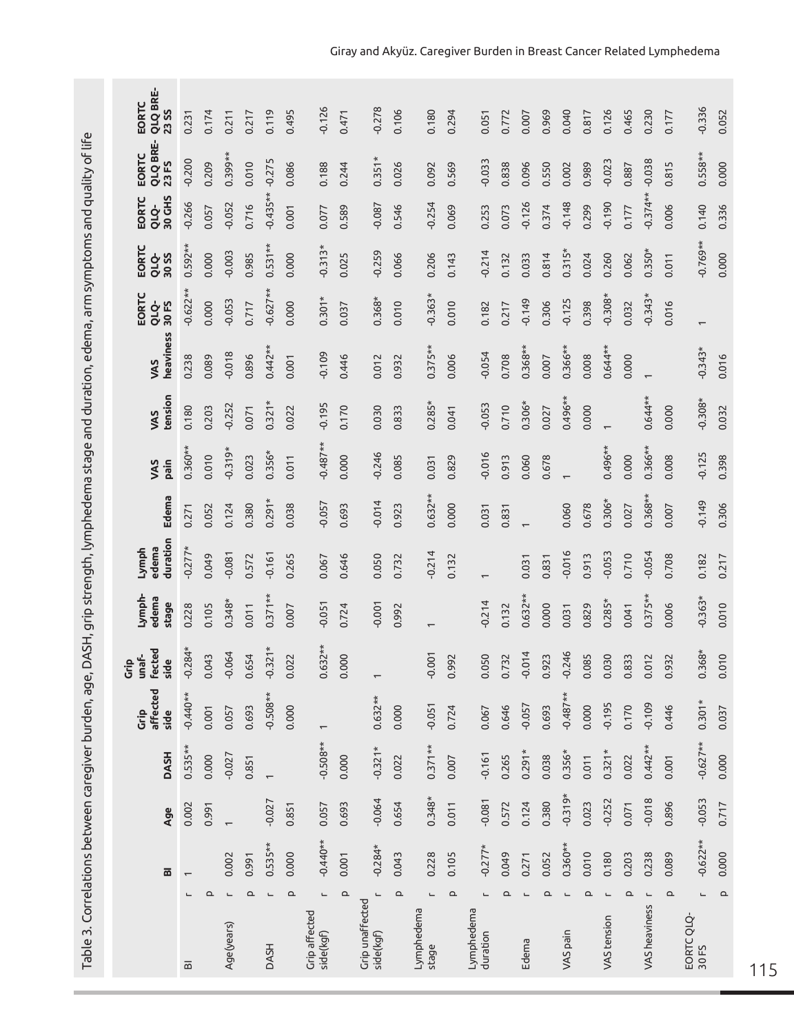Table 3. Correlations between caregiver burden, age, DASH, grip strength, lymphedema stage and duration, edema, arm symptoms and quality of life Table 3. Correlations between caregiver burden, age, DASH, grip strength, lymphedema stage and duration, edema, arm symptoms and quality of life

| QLQ BRE-<br>EORTC<br><b>23 SS</b>    | 0.231                    | 0.174    | 0.211      | 0.217             | 0.119        | 0.495                 | $-0.126$                          | 0.471    | $-0.278$                     | 0.106    | 0.180                    | 0.294             | 0.051                    | 0.772 | 0.007     | 0.969    | 0.040                    | 0.817             | 0.126                    | 0.465    | 0.230                    | 0.177 | $-0.336$                 | 0.052                 |
|--------------------------------------|--------------------------|----------|------------|-------------------|--------------|-----------------------|-----------------------------------|----------|------------------------------|----------|--------------------------|-------------------|--------------------------|-------|-----------|----------|--------------------------|-------------------|--------------------------|----------|--------------------------|-------|--------------------------|-----------------------|
| <b>QLQ BRE-</b><br>EORTC<br>23 FS    | $-0.200$                 | 0.209    | $0.399***$ | 0.010             | $-0.275$     | 0.086                 | 0.188                             | 0.244    | $0.351*$                     | 0.026    | 0.092                    | 0.569             | $-0.033$                 | 0.838 | 0.096     | 0.550    | 0.002                    | 0.989             | $-0.023$                 | 0.887    | $-0.038$                 | 0.815 | $0.558**$                | 0.000                 |
| 30 GHS<br>EORTC<br>QLQ-              | $-0.266$                 | 0.057    | $-0.052$   | 0.716             | $-0.435**$   | 0.001                 | 0.077                             | 0.589    | $-0.087$                     | 0.546    | $-0.254$                 | 0.069             | 0.253                    | 0.073 | $-0.126$  | 0.374    | $-0.148$                 | 0.299             | $-0.190$                 | 0.177    | $-0.374**$               | 0.006 | 0.140                    | 0.336                 |
| EORTC<br>QLQ-<br>30 SS               | $0.592**$                | 0.000    | $-0.003$   | 0.985             | $0.531**$    | 0.000                 | $-0.313*$                         | 0.025    | $-0.259$                     | 0.066    | 0.206                    | 0.143             | $-0.214$                 | 0.132 | 0.033     | 0.814    | $0.315*$                 | 0.024             | 0.260                    | 0.062    | $0.350*$                 | 0.011 | $-0.769**$               | 0.000                 |
| EORTC<br>QLQ-<br>30 FS               | $-0.622**$               | 0.000    | $-0.053$   | 0.717             | $-0.627**$   | 0.000                 | $0.301*$                          | 0.037    | $0.368*$                     | 0.010    | $-0.363*$                | 0.010             | 0.182                    | 0.217 | $-0.149$  | 0.306    | $-0.125$                 | 0.398             | $-0.308*$                | 0.032    | $-0.343*$                | 0.016 | $\overline{\phantom{m}}$ |                       |
| heaviness<br>VAS                     | 0.238                    | 0.089    | $-0.018$   | 0.896             | $0.442**$    | 0.001                 | $-0.109$                          | 0.446    | 0.012                        | 0.932    | $0.375**$                | 0.006             | $-0.054$                 | 0.708 | $0.368**$ | 0.007    | $0.366**$                | 0.008             | $0.644**$                | 0.000    |                          |       | $-0.343*$                | 0.016                 |
| tension<br>VAS                       | 0.180                    | 0.203    | $-0.252$   | 0.071             | $0.321*$     | 0.022                 | $-0.195$                          | 0.170    | 0.030                        | 0.833    | $0.285*$                 | 0.041             | $-0.053$                 | 0.710 | $0.306*$  | 0.027    | $0.496**$                | 0.000             |                          |          | $0.644**$                | 0.000 | $-0.308*$                | 0.032                 |
| pain<br>VAS                          | $0.360**$                | 0.010    | $-0.319*$  | 0.023             | $0.356*$     | 0.011                 | $-0.487**$                        | 0.000    | $-0.246$                     | 0.085    | 0.031                    | 0.829             | $-0.016$                 | 0.913 | 0.060     | 0.678    |                          |                   | $0.496**$                | 0.000    | $0.366**$                | 0.008 | $-0.125$                 | 0.398                 |
| Edema                                | 0.271                    | 0.052    | 0.124      | 0.380             | $0.291*$     | 0.038                 | $-0.057$                          | 0.693    | $-0.014$                     | 0.923    | $0.632**$                | 0.000             | 0.031                    | 0.831 |           |          | 0.060                    | 0.678             | $0.306*$                 | 0.027    | $0.368**$                | 0.007 | $-0.149$                 | 0.306                 |
| duration<br>Lymph<br>edema           | $-0.277*$                | 0.049    | $-0.081$   | 0.572             | $-0.161$     | 0.265                 | 0.067                             | 0.646    | 0.050                        | 0.732    | $-0.214$                 | 0.132             |                          |       | 0.031     | 0.831    | $-0.016$                 | 0.913             | $-0.053$                 | 0.710    | $-0.054$                 | 0.708 | 0.182                    | 0.217                 |
| Lymph-<br>edema<br>stage             | 0.228                    | 0.105    | $0.348*$   | 0.011             | $0.371**$    | 0.007                 | $-0.051$                          | 0.724    | $-0.001$                     | 0.992    |                          |                   | $-0.214$                 | 0.132 | $0.632**$ | 0.000    | 0.031                    | 0.829             | $0.285*$                 | 0.041    | $0.375**$                | 0.006 | $-0.363*$                | 0.010                 |
| <b>fected</b><br>unaf-<br>side<br>ĜĠ | $-0.284*$                | 0.043    | $-0.064$   | 0.654             | $-0.321*$    | 0.022                 | $0.632**$                         | 0.000    | $\overline{ }$               |          | $-0.001$                 | 0.992             | 0.050                    | 0.732 | $-0.014$  | 0.923    | $-0.246$                 | 0.085             | 0.030                    | 0.833    | 0.012                    | 0.932 | $0.368*$                 | 0.010                 |
| affected<br>side<br>Ĝ                | $-0.440**$               | 0.001    | 0.057      | 0.693             | $-0.508**$   | 0.000                 | $\overline{\phantom{0}}$          |          | $0.632**$                    | 0.000    | $-0.051$                 | 0.724             | 0.067                    | 0.646 | $-0.057$  | 0.693    | $-0.487**$               | 0.000             | $-0.195$                 | 0.170    | $-0.109$                 | 0.446 | $0.301*$                 | 0.037                 |
| <b>DASH</b>                          | $0.535**$                | 0.000    | $-0.027$   | 0.851             |              |                       | $-0.508**$                        | 0.000    | $-0.321*$                    | 0.022    | $0.371**$                | 0.007             | $-0.161$                 | 0.265 | $0.291*$  | 0.038    | $0.356*$                 | 0.011             | $0.321*$                 | 0.022    | $0.442**$                | 0.001 | $-0.627**$               | 0.000                 |
| Age                                  | 0.002                    | 0.991    |            |                   | $-0.027$     | 0.851                 | 0.057                             | 0.693    | $-0.064$                     | 0.654    | $0.348*$                 | 0.011             | $-0.081$                 | 0.572 | 0.124     | 0.380    | $-0.319*$                | 0.023             | $-0.252$                 | 0.071    | $-0.018$                 | 0.896 | $-0.053$                 | 0.717                 |
| $\overline{\mathbf{a}}$              |                          |          | 0.002      | 0.991             | $0.535**$    | 0.000                 | $-0.440**$                        | 0.001    | $-0.284*$                    | 0.043    | 0.228                    | 0.105             | $-0.277*$                | 0.049 | 0.271     | 0.052    | $0.360**$                | 0.010             | 0.180                    | 0.203    | 0.238                    | 0.089 | $-0.622**$               | 0.000                 |
|                                      | $\overline{\phantom{0}}$ | $\Omega$ | L          | $\mathtt{\Omega}$ | $\mathbf{L}$ | $\mathtt{\mathtt{a}}$ | $\overline{\phantom{0}}$          | $\Omega$ | $\overline{\phantom{0}}$     | $\Omega$ | $\overline{\phantom{a}}$ | $\mathtt{\Omega}$ | $\overline{\phantom{0}}$ | Q     |           | $\Omega$ | $\overline{\phantom{0}}$ | $\mathtt{\Omega}$ | $\overline{\phantom{0}}$ | $\Delta$ | $\overline{\phantom{0}}$ | Q     | L                        | $\mathtt{\mathtt{a}}$ |
|                                      | $\overline{\mathbf{m}}$  |          | Age(years) |                   | <b>DASH</b>  |                       | <b>Grip affected</b><br>side(kgf) |          | Grip unaffected<br>side(kgf) |          | Lymphedema<br>stage      |                   | Lymphedema<br>duration   |       | Edema     |          | VAS pain                 |                   | VAS tension              |          | VAS heaviness            |       | EORTC QLQ-<br>30 FS      |                       |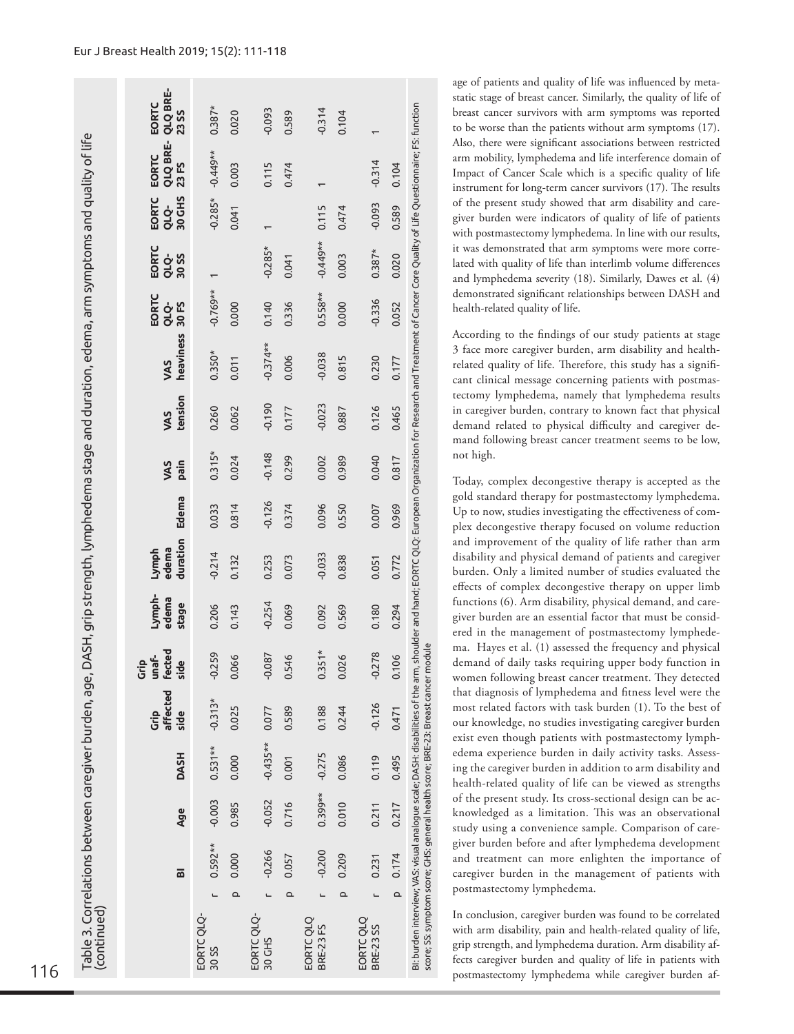| QLQ BRE-<br>23 SS<br>static stage of breast cancer. Similarly, the quality of life of<br>BI: burden interview; VAS: visual analogue scale; DASH: disabilities of the arm, shoulder and hand; EORTC QLC; European Organization for Research and Treatment of Cancer Core Quality of Life Questionnaire; FS: function<br>EORTC<br>$0.387*$<br>$-0.093$<br>$-0.314$<br>breast cancer survivors with arm symptoms was reported<br>0.020<br>0.104<br>0.589<br>to be worse than the patients without arm symptoms (17).<br>ASH, grip strength, lymphedema stage and duration, edema, arm symptoms and quality of life<br>Also, there were significant associations between restricted<br>QLQ BRE-<br>$-0.449**$<br>EORTC<br>arm mobility, lymphedema and life interference domain of<br>$-0.314$<br>23 FS<br>0.003<br>0.104<br>0.115<br>0.474<br>Impact of Cancer Scale which is a specific quality of life<br>instrument for long-term cancer survivors (17). The results<br>EORTC<br>QLQ-<br>30 GHS<br>$-0.285*$<br>of the present study showed that arm disability and care-<br>$-0.093$<br>0.589<br>0.115<br>0.474<br>0.041<br>giver burden were indicators of quality of life of patients<br>with postmastectomy lymphedema. In line with our results,<br>$-0.449**$<br>it was demonstrated that arm symptoms were more corre-<br>EORTC<br>$-0.285*$<br>$0.387*$<br><b>QLQ-</b><br>30 SS<br>0.003<br>0.020<br>0.041<br>lated with quality of life than interlimb volume differences<br>$\overline{ }$<br>and lymphedema severity (18). Similarly, Dawes et al. (4)<br>demonstrated significant relationships between DASH and<br>$-0.769**$<br>$0.558**$<br>EORTC<br>$-0.336$<br>0.000<br>QLQ-<br>30 FS<br>0.000<br>0.336<br>0.140<br>0.052<br>health-related quality of life.<br>According to the findings of our study patients at stage<br>heaviness<br>$-0.374**$<br>3 face more caregiver burden, arm disability and health-<br>$0.350*$<br>$-0.038$<br>0.006<br>0.230<br>0.815<br>0.011<br>0.177<br>VAS<br>related quality of life. Therefore, this study has a signifi-<br>cant clinical message concerning patients with postmas-<br>tectomy lymphedema, namely that lymphedema results<br>tension<br>$-0.190$<br>$-0.023$<br>in caregiver burden, contrary to known fact that physical<br>0.260<br>0.062<br>0.126<br>0.465<br>0.177<br>0.887<br>VAS<br>demand related to physical difficulty and caregiver de-<br>mand following breast cancer treatment seems to be low,<br>not high.<br>$0.315*$<br>$-0.148$<br>0.024<br>0.299<br>0.040<br>0.989<br>0.002<br>0.817 |  |
|------------------------------------------------------------------------------------------------------------------------------------------------------------------------------------------------------------------------------------------------------------------------------------------------------------------------------------------------------------------------------------------------------------------------------------------------------------------------------------------------------------------------------------------------------------------------------------------------------------------------------------------------------------------------------------------------------------------------------------------------------------------------------------------------------------------------------------------------------------------------------------------------------------------------------------------------------------------------------------------------------------------------------------------------------------------------------------------------------------------------------------------------------------------------------------------------------------------------------------------------------------------------------------------------------------------------------------------------------------------------------------------------------------------------------------------------------------------------------------------------------------------------------------------------------------------------------------------------------------------------------------------------------------------------------------------------------------------------------------------------------------------------------------------------------------------------------------------------------------------------------------------------------------------------------------------------------------------------------------------------------------------------------------------------------------------------------------------------------------------------------------------------------------------------------------------------------------------------------------------------------------------------------------------------------------------------------------------------------------------------------------------------------------------------------------------------------------------------------------------------------------------------------------------------------------------------------|--|
|                                                                                                                                                                                                                                                                                                                                                                                                                                                                                                                                                                                                                                                                                                                                                                                                                                                                                                                                                                                                                                                                                                                                                                                                                                                                                                                                                                                                                                                                                                                                                                                                                                                                                                                                                                                                                                                                                                                                                                                                                                                                                                                                                                                                                                                                                                                                                                                                                                                                                                                                                                              |  |
|                                                                                                                                                                                                                                                                                                                                                                                                                                                                                                                                                                                                                                                                                                                                                                                                                                                                                                                                                                                                                                                                                                                                                                                                                                                                                                                                                                                                                                                                                                                                                                                                                                                                                                                                                                                                                                                                                                                                                                                                                                                                                                                                                                                                                                                                                                                                                                                                                                                                                                                                                                              |  |
|                                                                                                                                                                                                                                                                                                                                                                                                                                                                                                                                                                                                                                                                                                                                                                                                                                                                                                                                                                                                                                                                                                                                                                                                                                                                                                                                                                                                                                                                                                                                                                                                                                                                                                                                                                                                                                                                                                                                                                                                                                                                                                                                                                                                                                                                                                                                                                                                                                                                                                                                                                              |  |
|                                                                                                                                                                                                                                                                                                                                                                                                                                                                                                                                                                                                                                                                                                                                                                                                                                                                                                                                                                                                                                                                                                                                                                                                                                                                                                                                                                                                                                                                                                                                                                                                                                                                                                                                                                                                                                                                                                                                                                                                                                                                                                                                                                                                                                                                                                                                                                                                                                                                                                                                                                              |  |
|                                                                                                                                                                                                                                                                                                                                                                                                                                                                                                                                                                                                                                                                                                                                                                                                                                                                                                                                                                                                                                                                                                                                                                                                                                                                                                                                                                                                                                                                                                                                                                                                                                                                                                                                                                                                                                                                                                                                                                                                                                                                                                                                                                                                                                                                                                                                                                                                                                                                                                                                                                              |  |
|                                                                                                                                                                                                                                                                                                                                                                                                                                                                                                                                                                                                                                                                                                                                                                                                                                                                                                                                                                                                                                                                                                                                                                                                                                                                                                                                                                                                                                                                                                                                                                                                                                                                                                                                                                                                                                                                                                                                                                                                                                                                                                                                                                                                                                                                                                                                                                                                                                                                                                                                                                              |  |
|                                                                                                                                                                                                                                                                                                                                                                                                                                                                                                                                                                                                                                                                                                                                                                                                                                                                                                                                                                                                                                                                                                                                                                                                                                                                                                                                                                                                                                                                                                                                                                                                                                                                                                                                                                                                                                                                                                                                                                                                                                                                                                                                                                                                                                                                                                                                                                                                                                                                                                                                                                              |  |
| pain<br>VAS<br>Today, complex decongestive therapy is accepted as the                                                                                                                                                                                                                                                                                                                                                                                                                                                                                                                                                                                                                                                                                                                                                                                                                                                                                                                                                                                                                                                                                                                                                                                                                                                                                                                                                                                                                                                                                                                                                                                                                                                                                                                                                                                                                                                                                                                                                                                                                                                                                                                                                                                                                                                                                                                                                                                                                                                                                                        |  |
| gold standard therapy for postmastectomy lymphedema.<br>Edema<br>$-0.126$<br>0.814<br>0.374<br>0.096<br>0.550<br>0.969<br>0.033<br>0.007<br>Up to now, studies investigating the effectiveness of com-<br>plex decongestive therapy focused on volume reduction                                                                                                                                                                                                                                                                                                                                                                                                                                                                                                                                                                                                                                                                                                                                                                                                                                                                                                                                                                                                                                                                                                                                                                                                                                                                                                                                                                                                                                                                                                                                                                                                                                                                                                                                                                                                                                                                                                                                                                                                                                                                                                                                                                                                                                                                                                              |  |
| and improvement of the quality of life rather than arm<br>duration<br>edema<br>Lymph<br>$-0.214$<br>$-0.033$<br>disability and physical demand of patients and caregiver<br>0.838<br>0.132<br>0.772<br>0.073<br>0.253<br>0.051<br>burden. Only a limited number of studies evaluated the<br>effects of complex decongestive therapy on upper limb                                                                                                                                                                                                                                                                                                                                                                                                                                                                                                                                                                                                                                                                                                                                                                                                                                                                                                                                                                                                                                                                                                                                                                                                                                                                                                                                                                                                                                                                                                                                                                                                                                                                                                                                                                                                                                                                                                                                                                                                                                                                                                                                                                                                                            |  |
| Lymph-<br>edema<br>functions (6). Arm disability, physical demand, and care-<br>stage<br>$-0.254$<br>0.206<br>0.180<br>0.143<br>0.069<br>0.569<br>0.294<br>0.092<br>giver burden are an essential factor that must be consid-<br>ered in the management of postmastectomy lymphede-                                                                                                                                                                                                                                                                                                                                                                                                                                                                                                                                                                                                                                                                                                                                                                                                                                                                                                                                                                                                                                                                                                                                                                                                                                                                                                                                                                                                                                                                                                                                                                                                                                                                                                                                                                                                                                                                                                                                                                                                                                                                                                                                                                                                                                                                                          |  |
| ma. Hayes et al. (1) assessed the frequency and physical<br>unaf-<br>fected<br>$-0.278$<br>$-0.259$<br>0.106<br>$\circ$<br>$-0.087$<br>$\circ$<br>$\circ$<br>demand of daily tasks requiring upper body function in<br>έģ<br>side<br>0.06<br>0.54<br>0.35<br>0.02<br>women following breast cancer treatment. They detected                                                                                                                                                                                                                                                                                                                                                                                                                                                                                                                                                                                                                                                                                                                                                                                                                                                                                                                                                                                                                                                                                                                                                                                                                                                                                                                                                                                                                                                                                                                                                                                                                                                                                                                                                                                                                                                                                                                                                                                                                                                                                                                                                                                                                                                  |  |
| that diagnosis of lymphedema and fitness level were the<br>affected<br>$-0.313*$<br>$-0.126$<br>most related factors with task burden (1). To the best of<br>0.025<br>0.589<br>0.188<br>0.244<br>0.077<br>0.471<br>Ġ<br>side<br>our knowledge, no studies investigating caregiver burden<br>exist even though patients with postmastectomy lymph-                                                                                                                                                                                                                                                                                                                                                                                                                                                                                                                                                                                                                                                                                                                                                                                                                                                                                                                                                                                                                                                                                                                                                                                                                                                                                                                                                                                                                                                                                                                                                                                                                                                                                                                                                                                                                                                                                                                                                                                                                                                                                                                                                                                                                            |  |
| $-0.435**$<br>$0.531**$<br>edema experience burden in daily activity tasks. Assess-<br><b>DASH</b><br>$-0.275$<br>0.000<br>0.086<br>0.119<br>0.495<br>0.001<br>ing the caregiver burden in addition to arm disability and<br>health-related quality of life can be viewed as strengths                                                                                                                                                                                                                                                                                                                                                                                                                                                                                                                                                                                                                                                                                                                                                                                                                                                                                                                                                                                                                                                                                                                                                                                                                                                                                                                                                                                                                                                                                                                                                                                                                                                                                                                                                                                                                                                                                                                                                                                                                                                                                                                                                                                                                                                                                       |  |
| 0.399**<br>of the present study. Its cross-sectional design can be ac-<br>$-0.003$<br>$-0.052$<br>0.985<br>0.716<br>0.010<br>0.211<br>0.217<br>Age<br>knowledged as a limitation. This was an observational<br>study using a convenience sample. Comparison of care-                                                                                                                                                                                                                                                                                                                                                                                                                                                                                                                                                                                                                                                                                                                                                                                                                                                                                                                                                                                                                                                                                                                                                                                                                                                                                                                                                                                                                                                                                                                                                                                                                                                                                                                                                                                                                                                                                                                                                                                                                                                                                                                                                                                                                                                                                                         |  |
| giver burden before and after lymphedema development<br>$0.592**$<br>$-0.266$<br>$-0.200$<br>0.000<br>0.209<br>0.174<br>0.057<br>0.231<br>and treatment can more enlighten the importance of<br>$\overline{\mathbf{a}}$<br>caregiver burden in the management of patients with                                                                                                                                                                                                                                                                                                                                                                                                                                                                                                                                                                                                                                                                                                                                                                                                                                                                                                                                                                                                                                                                                                                                                                                                                                                                                                                                                                                                                                                                                                                                                                                                                                                                                                                                                                                                                                                                                                                                                                                                                                                                                                                                                                                                                                                                                               |  |
| postmastectomy lymphedema.<br>$\Omega$<br>$\mathtt{\mathtt{a}}$<br>$\Omega$<br>$\mathtt{\Omega}$                                                                                                                                                                                                                                                                                                                                                                                                                                                                                                                                                                                                                                                                                                                                                                                                                                                                                                                                                                                                                                                                                                                                                                                                                                                                                                                                                                                                                                                                                                                                                                                                                                                                                                                                                                                                                                                                                                                                                                                                                                                                                                                                                                                                                                                                                                                                                                                                                                                                             |  |
| score; SS: symptom score; GHS: general health score; BRE-23: Breast cancer module<br>Table 3. Correlations between caregiver burden, age, D.<br>(continued)<br>In conclusion, caregiver burden was found to be correlated<br>EORTC QLQ-<br>30 GHS<br>EORTC QLQ-<br>30 SS<br>EORTC QLQ<br>BRE-23 FS<br>EORTC QLQ<br>BRE-23 SS<br>with arm disability, pain and health-related quality of life,<br>grip strength, and lymphedema duration. Arm disability af-<br>fects caregiver burden and quality of life in patients with<br>116<br>postmastectomy lymphedema while caregiver burden af-                                                                                                                                                                                                                                                                                                                                                                                                                                                                                                                                                                                                                                                                                                                                                                                                                                                                                                                                                                                                                                                                                                                                                                                                                                                                                                                                                                                                                                                                                                                                                                                                                                                                                                                                                                                                                                                                                                                                                                                    |  |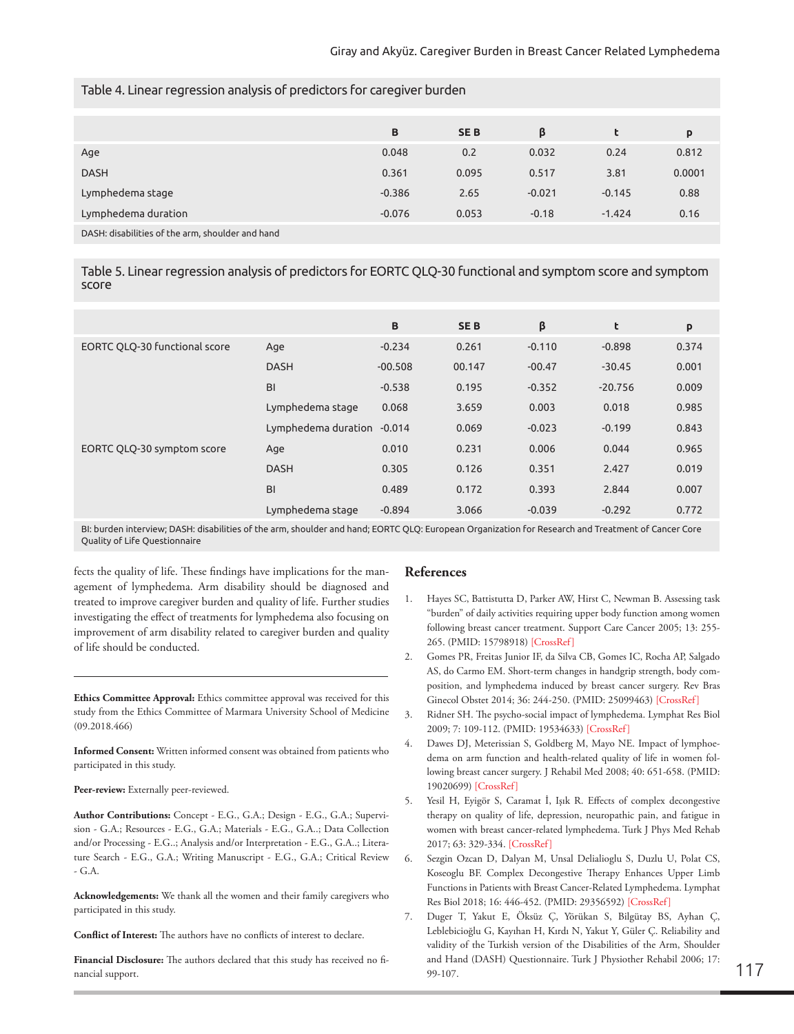|                                                  | B        | <b>SEB</b> | β        |          | p      |
|--------------------------------------------------|----------|------------|----------|----------|--------|
| Age                                              | 0.048    | 0.2        | 0.032    | 0.24     | 0.812  |
| <b>DASH</b>                                      | 0.361    | 0.095      | 0.517    | 3.81     | 0.0001 |
| Lymphedema stage                                 | $-0.386$ | 2.65       | $-0.021$ | $-0.145$ | 0.88   |
| Lymphedema duration                              | $-0.076$ | 0.053      | $-0.18$  | $-1.424$ | 0.16   |
| DASH: disabilities of the arm, shoulder and hand |          |            |          |          |        |

Table 4. Linear regression analysis of predictors for caregiver burden

Table 5. Linear regression analysis of predictors for EORTC QLQ-30 functional and symptom score and symptom score

|                               |                            | B         | <b>SEB</b> | β        | t         | P     |
|-------------------------------|----------------------------|-----------|------------|----------|-----------|-------|
| EORTC QLQ-30 functional score | Age                        | $-0.234$  | 0.261      | $-0.110$ | $-0.898$  | 0.374 |
|                               | <b>DASH</b>                | $-00.508$ | 00.147     | $-00.47$ | $-30.45$  | 0.001 |
|                               | BI                         | $-0.538$  | 0.195      | $-0.352$ | $-20.756$ | 0.009 |
|                               | Lymphedema stage           | 0.068     | 3.659      | 0.003    | 0.018     | 0.985 |
|                               | Lymphedema duration -0.014 |           | 0.069      | $-0.023$ | $-0.199$  | 0.843 |
| EORTC QLQ-30 symptom score    | Age                        | 0.010     | 0.231      | 0.006    | 0.044     | 0.965 |
|                               | <b>DASH</b>                | 0.305     | 0.126      | 0.351    | 2.427     | 0.019 |
|                               | BI                         | 0.489     | 0.172      | 0.393    | 2.844     | 0.007 |
|                               | Lymphedema stage           | $-0.894$  | 3.066      | $-0.039$ | $-0.292$  | 0.772 |

BI: burden interview; DASH: disabilities of the arm, shoulder and hand; EORTC QLQ: European Organization for Research and Treatment of Cancer Core Quality of Life Questionnaire

fects the quality of life. These findings have implications for the management of lymphedema. Arm disability should be diagnosed and treated to improve caregiver burden and quality of life. Further studies investigating the effect of treatments for lymphedema also focusing on improvement of arm disability related to caregiver burden and quality of life should be conducted.

**Ethics Committee Approval:** Ethics committee approval was received for this study from the Ethics Committee of Marmara University School of Medicine (09.2018.466)

**Informed Consent:** Written informed consent was obtained from patients who participated in this study.

## Peer-review: Externally peer-reviewed.

**Author Contributions:** Concept - E.G., G.A.; Design - E.G., G.A.; Supervision - G.A.; Resources - E.G., G.A.; Materials - E.G., G.A..; Data Collection and/or Processing - E.G..; Analysis and/or Interpretation - E.G., G.A..; Literature Search - E.G., G.A.; Writing Manuscript - E.G., G.A.; Critical Review - G.A.

**Acknowledgements:** We thank all the women and their family caregivers who participated in this study.

**Conflict of Interest:** The authors have no conflicts of interest to declare.

**Financial Disclosure:** The authors declared that this study has received no financial support.

# **References**

- 1. Hayes SC, Battistutta D, Parker AW, Hirst C, Newman B. Assessing task "burden" of daily activities requiring upper body function among women following breast cancer treatment. Support Care Cancer 2005; 13: 255- 265. (PMID: 15798918) [\[CrossRef\]](https://doi.org/10.1007/s00520-004-0729-8)
- 2. Gomes PR, Freitas Junior IF, da Silva CB, Gomes IC, Rocha AP, Salgado AS, do Carmo EM. Short-term changes in handgrip strength, body composition, and lymphedema induced by breast cancer surgery. Rev Bras Ginecol Obstet 2014; 36: 244-250. (PMID: 25099463) [[CrossRef\]](https://doi.org/10.1590/S0100-720320140005004)
- 3. Ridner SH. The psycho-social impact of lymphedema. Lymphat Res Biol 2009; 7: 109-112. (PMID: 19534633) [[CrossRef](https://doi.org/10.1089/lrb.2009.0004)]
- 4. Dawes DJ, Meterissian S, Goldberg M, Mayo NE. Impact of lymphoedema on arm function and health-related quality of life in women following breast cancer surgery. J Rehabil Med 2008; 40: 651-658. (PMID: 19020699) [[CrossRef\]](https://doi.org/10.2340/16501977-0232)
- 5. Yesil H, Eyigör S, Caramat İ, Işık R. Effects of complex decongestive therapy on quality of life, depression, neuropathic pain, and fatigue in women with breast cancer-related lymphedema. Turk J Phys Med Rehab 2017; 63: 329-334. [[CrossRef\]](https://doi.org/10.5606/tftrd.2017.779)
- 6. Sezgin Ozcan D, Dalyan M, Unsal Delialioglu S, Duzlu U, Polat CS, Koseoglu BF. Complex Decongestive Therapy Enhances Upper Limb Functions in Patients with Breast Cancer-Related Lymphedema. Lymphat Res Biol 2018; 16: 446-452. (PMID: 29356592) [\[CrossRef\]](https://doi.org/10.1089/lrb.2017.0061)
- 7. Duger T, Yakut E, Öksüz Ç, Yörükan S, Bilgütay BS, Ayhan Ç, Leblebicioğlu G, Kayıhan H, Kırdı N, Yakut Y, Güler Ç. Reliability and validity of the Turkish version of the Disabilities of the Arm, Shoulder and Hand (DASH) Questionnaire. Turk J Physiother Rehabil 2006; 17: 99-107. 117